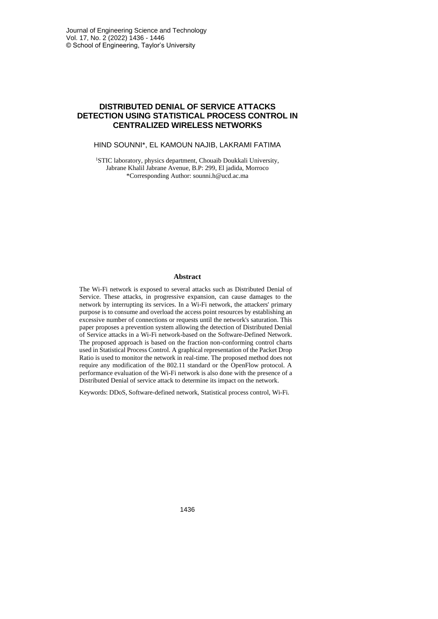# **DISTRIBUTED DENIAL OF SERVICE ATTACKS DETECTION USING STATISTICAL PROCESS CONTROL IN CENTRALIZED WIRELESS NETWORKS**

## HIND SOUNNI\*, EL KAMOUN NAJIB, LAKRAMI FATIMA

<sup>1</sup>STIC laboratory, physics department, Chouaib Doukkali University, Jabrane Khalil Jabrane Avenue, B.P: 299, El jadida, Morroco \*Corresponding Author: sounni.h@ucd.ac.ma

#### **Abstract**

The Wi-Fi network is exposed to several attacks such as Distributed Denial of Service. These attacks, in progressive expansion, can cause damages to the network by interrupting its services. In a Wi-Fi network, the attackers' primary purpose is to consume and overload the access point resources by establishing an excessive number of connections or requests until the network's saturation. This paper proposes a prevention system allowing the detection of Distributed Denial of Service attacks in a Wi-Fi network-based on the Software-Defined Network. The proposed approach is based on the fraction non-conforming control charts used in Statistical Process Control. A graphical representation of the Packet Drop Ratio is used to monitor the network in real-time. The proposed method does not require any modification of the 802.11 standard or the OpenFlow protocol. A performance evaluation of the Wi-Fi network is also done with the presence of a Distributed Denial of service attack to determine its impact on the network.

Keywords: DDoS, Software-defined network, Statistical process control, Wi-Fi.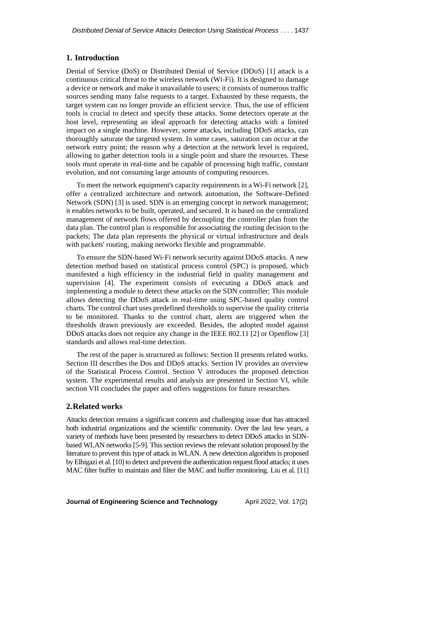## **1. Introduction**

Denial of Service (DoS) or Distributed Denial of Service (DDoS) [1] attack is a continuous critical threat to the wireless network (Wi-Fi). It is designed to damage a device or network and make it unavailable to users; it consists of numerous traffic sources sending many false requests to a target. Exhausted by these requests, the target system can no longer provide an efficient service. Thus, the use of efficient tools is crucial to detect and specify these attacks. Some detectors operate at the host level, representing an ideal approach for detecting attacks with a limited impact on a single machine. However, some attacks, including DDoS attacks, can thoroughly saturate the targeted system. In some cases, saturation can occur at the network entry point; the reason why a detection at the network level is required, allowing to gather detection tools in a single point and share the resources. These tools must operate in real-time and be capable of processing high traffic, constant evolution, and not consuming large amounts of computing resources.

To meet the network equipment's capacity requirements in a Wi-Fi network [2], offer a centralized architecture and network automation, the Software-Defined Network (SDN) [3] is used. SDN is an emerging concept in network management; it enables networks to be built, operated, and secured. It is based on the centralized management of network flows offered by decoupling the controller plan from the data plan. The control plan is responsible for associating the routing decision to the packets; The data plan represents the physical or virtual infrastructure and deals with packets' routing, making networks flexible and programmable.

To ensure the SDN-based Wi-Fi network security against DDoS attacks. A new detection method based on statistical process control (SPC) is proposed, which manifested a high efficiency in the industrial field in quality management and supervision [4]. The experiment consists of executing a DDoS attack and implementing a module to detect these attacks on the SDN controller; This module allows detecting the DDoS attack in real-time using SPC-based quality control charts. The control chart uses predefined thresholds to supervise the quality criteria to be monitored. Thanks to the control chart, alerts are triggered when the thresholds drawn previously are exceeded. Besides, the adopted model against DDoS attacks does not require any change in the IEEE 802.11 [2] or Openflow [3] standards and allows real-time detection.

The rest of the paper is structured as follows: Section II presents related works. Section III describes the Dos and DDoS attacks. Section IV provides an overview of the Statistical Process Control. Section V introduces the proposed detection system. The experimental results and analysis are presented in Section VI, while section VII concludes the paper and offers suggestions for future researches.

#### **2.Related works**

Attacks detection remains a significant concern and challenging issue that has attracted both industrial organizations and the scientific community. Over the last few years, a variety of methods have been presented by researchers to detect DDoS attacks in SDNbased WLAN networks [5-9]. This section reviews the relevant solution proposed by the literature to prevent this type of attack in WLAN. A new detection algorithm is proposed by Elhigazi et al.[10] to detect and prevent the authentication request flood attacks; it uses MAC filter buffer to maintain and filter the MAC and buffer monitoring. Liu et al. [11]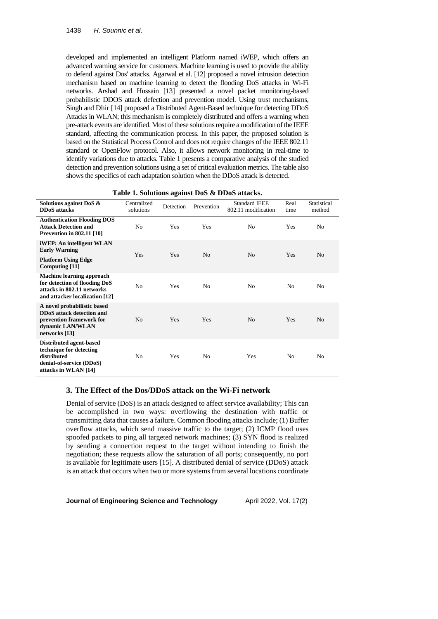developed and implemented an intelligent Platform named iWEP, which offers an advanced warning service for customers. Machine learning is used to provide the ability to defend against Dos' attacks. Agarwal et al. [12] proposed a novel intrusion detection mechanism based on machine learning to detect the flooding DoS attacks in Wi-Fi networks. Arshad and Hussain [13] presented a novel packet monitoring-based probabilistic DDOS attack defection and prevention model. Using trust mechanisms, Singh and Dhir [14] proposed a Distributed Agent-Based technique for detecting DDoS Attacks in WLAN; this mechanism is completely distributed and offers a warning when pre-attack events are identified. Most of these solutions require a modification of the IEEE standard, affecting the communication process. In this paper, the proposed solution is based on the Statistical Process Control and does not require changes of the IEEE 802.11 standard or OpenFlow protocol. Also, it allows network monitoring in real-time to identify variations due to attacks. Table 1 presents a comparative analysis of the studied detection and prevention solutions using a set of critical evaluation metrics. The table also shows the specifics of each adaptation solution when the DDoS attack is detected.

| Solutions against DoS &<br><b>DDoS</b> attacks                                                                                    | Centralized<br>solutions | Detection | Prevention     | <b>Standard IEEE</b><br>802.11 modification | Real<br>time   | Statistical<br>method |  |
|-----------------------------------------------------------------------------------------------------------------------------------|--------------------------|-----------|----------------|---------------------------------------------|----------------|-----------------------|--|
| <b>Authentication Flooding DOS</b><br><b>Attack Detection and</b><br><b>Prevention in 802.11 [10]</b>                             | No                       | Yes       | Yes            | N <sub>0</sub>                              | Yes            | N <sub>0</sub>        |  |
| iWEP: An intelligent WLAN<br><b>Early Warning</b><br><b>Platform Using Edge</b><br>Computing [11]                                 | Yes                      | Yes       | N <sub>o</sub> | N <sub>o</sub>                              | Yes            | N <sub>0</sub>        |  |
| <b>Machine learning approach</b><br>for detection of flooding DoS<br>attacks in 802.11 networks<br>and attacker localization [12] | N <sub>0</sub>           | Yes       | N <sub>0</sub> | N <sub>0</sub>                              | N <sub>0</sub> | N <sub>0</sub>        |  |
| A novel probabilistic based<br><b>DDoS</b> attack detection and<br>prevention framework for<br>dynamic LAN/WLAN<br>networks [13]  | N <sub>o</sub>           | Yes       | Yes            | N <sub>o</sub>                              | Yes            | N <sub>0</sub>        |  |
| Distributed agent-based<br>technique for detecting<br>distributed<br>denial-of-service (DDoS)<br>attacks in WLAN [14]             | No                       | Yes       | N <sub>0</sub> | Yes                                         | No             | N <sub>0</sub>        |  |

#### **Table 1. Solutions against DoS & DDoS attacks.**

# **3. The Effect of the Dos/DDoS attack on the Wi-Fi network**

Denial of service (DoS) is an attack designed to affect service availability; This can be accomplished in two ways: overflowing the destination with traffic or transmitting data that causes a failure. Common flooding attacks include; (1) Buffer overflow attacks, which send massive traffic to the target; (2) ICMP flood uses spoofed packets to ping all targeted network machines; (3) SYN flood is realized by sending a connection request to the target without intending to finish the negotiation; these requests allow the saturation of all ports; consequently, no port is available for legitimate users [15]. A distributed denial of service (DDoS) attack is an attack that occurs when two or more systems from several locations coordinate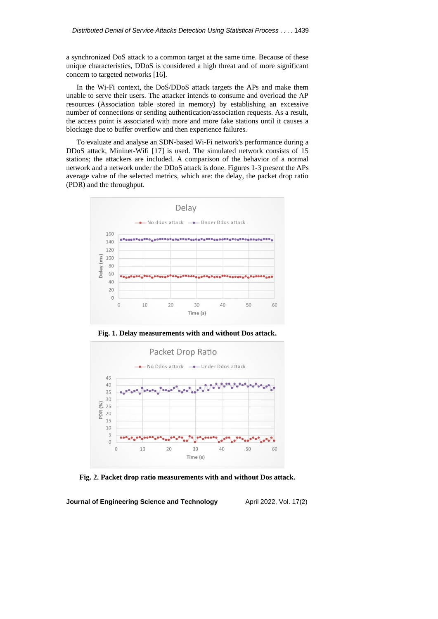a synchronized DoS attack to a common target at the same time. Because of these unique characteristics, DDoS is considered a high threat and of more significant concern to targeted networks [16].

In the Wi-Fi context, the DoS/DDoS attack targets the APs and make them unable to serve their users. The attacker intends to consume and overload the AP resources (Association table stored in memory) by establishing an excessive number of connections or sending authentication/association requests. As a result, the access point is associated with more and more fake stations until it causes a blockage due to buffer overflow and then experience failures.

To evaluate and analyse an SDN-based Wi-Fi network's performance during a DDoS attack, Mininet-Wifi [17] is used. The simulated network consists of 15 stations; the attackers are included. A comparison of the behavior of a normal network and a network under the DDoS attack is done. Figures 1-3 present the APs average value of the selected metrics, which are: the delay, the packet drop ratio (PDR) and the throughput.



**Fig. 1. Delay measurements with and without Dos attack.**



**Fig. 2. Packet drop ratio measurements with and without Dos attack.**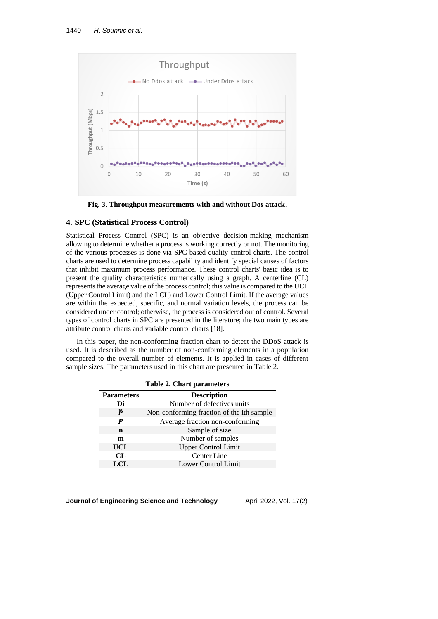

**Fig. 3. Throughput measurements with and without Dos attack.**

## **4. SPC (Statistical Process Control)**

Statistical Process Control (SPC) is an objective decision-making mechanism allowing to determine whether a process is working correctly or not. The monitoring of the various processes is done via SPC-based quality control charts. The control charts are used to determine process capability and identify special causes of factors that inhibit maximum process performance. These control charts' basic idea is to present the quality characteristics numerically using a graph. A centerline (CL) represents the average value of the process control; this value is compared to the UCL (Upper Control Limit) and the LCL) and Lower Control Limit. If the average values are within the expected, specific, and normal variation levels, the process can be considered under control; otherwise, the process is considered out of control. Several types of control charts in SPC are presented in the literature; the two main types are attribute control charts and variable control charts [18].

In this paper, the non-conforming fraction chart to detect the DDoS attack is used. It is described as the number of non-conforming elements in a population compared to the overall number of elements. It is applied in cases of different sample sizes. The parameters used in this chart are presented in Table 2.

| <b>Table 2. Chart parameters</b> |                                           |  |  |  |
|----------------------------------|-------------------------------------------|--|--|--|
| <b>Parameters</b>                | <b>Description</b>                        |  |  |  |
| Di                               | Number of defectives units                |  |  |  |
| $\widehat{\bm{p}}$               | Non-conforming fraction of the ith sample |  |  |  |
| $\overline{p}$                   | Average fraction non-conforming           |  |  |  |
| n                                | Sample of size                            |  |  |  |
| m                                | Number of samples                         |  |  |  |
| UCL                              | <b>Upper Control Limit</b>                |  |  |  |
| CL                               | Center Line                               |  |  |  |
| <b>LCL</b>                       | Lower Control Limit                       |  |  |  |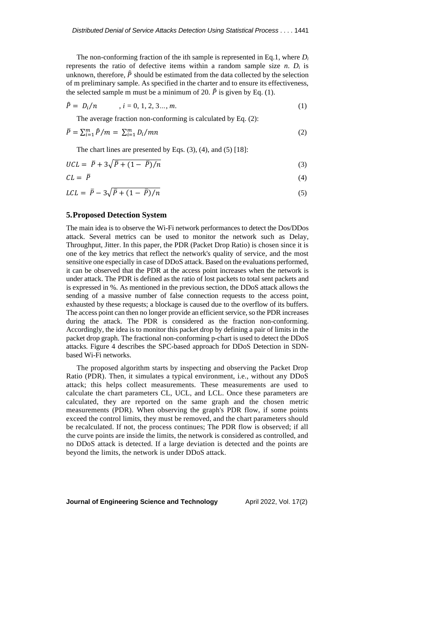The non-conforming fraction of the ith sample is represented in Eq.1, where *D<sup>i</sup>* represents the ratio of defective items within a random sample size  $n$ .  $D_i$  is unknown, therefore,  $\hat{P}$  should be estimated from the data collected by the selection of m preliminary sample. As specified in the charter and to ensure its effectiveness, the selected sample m must be a minimum of 20.  $\hat{P}$  is given by Eq. (1).

$$
\hat{P} = D_i/n, \qquad i = 0, 1, 2, 3..., m.
$$
 (1)

The average fraction non-conforming is calculated by Eq. (2):

$$
\bar{P} = \sum_{i=1}^{m} \hat{P}/m = \sum_{i=1}^{m} D_i/mn \tag{2}
$$

The chart lines are presented by Eqs. (3), (4), and (5) [18]:

$$
UCL = \overline{P} + 3\sqrt{\overline{P} + (1 - \overline{P})/n} \tag{3}
$$

$$
CL = \bar{P} \tag{4}
$$

$$
LCL = \bar{P} - 3\sqrt{\bar{P} + (1 - \bar{P})/n} \tag{5}
$$

## **5.Proposed Detection System**

The main idea is to observe the Wi-Fi network performances to detect the Dos/DDos attack. Several metrics can be used to monitor the network such as Delay, Throughput, Jitter. In this paper, the PDR (Packet Drop Ratio) is chosen since it is one of the key metrics that reflect the network's quality of service, and the most sensitive one especially in case of DDoS attack. Based on the evaluations performed, it can be observed that the PDR at the access point increases when the network is under attack. The PDR is defined as the ratio of lost packets to total sent packets and is expressed in %. As mentioned in the previous section, the DDoS attack allows the sending of a massive number of false connection requests to the access point, exhausted by these requests; a blockage is caused due to the overflow of its buffers. The access point can then no longer provide an efficient service, so the PDR increases during the attack. The PDR is considered as the fraction non-conforming. Accordingly, the idea is to monitor this packet drop by defining a pair of limits in the packet drop graph. The fractional non-conforming p-chart is used to detect the DDoS attacks. Figure 4 describes the SPC-based approach for DDoS Detection in SDNbased Wi-Fi networks.

The proposed algorithm starts by inspecting and observing the Packet Drop Ratio (PDR). Then, it simulates a typical environment, i.e., without any DDoS attack; this helps collect measurements. These measurements are used to calculate the chart parameters CL, UCL, and LCL. Once these parameters are calculated, they are reported on the same graph and the chosen metric measurements (PDR). When observing the graph's PDR flow, if some points exceed the control limits, they must be removed, and the chart parameters should be recalculated. If not, the process continues; The PDR flow is observed; if all the curve points are inside the limits, the network is considered as controlled, and no DDoS attack is detected. If a large deviation is detected and the points are beyond the limits, the network is under DDoS attack.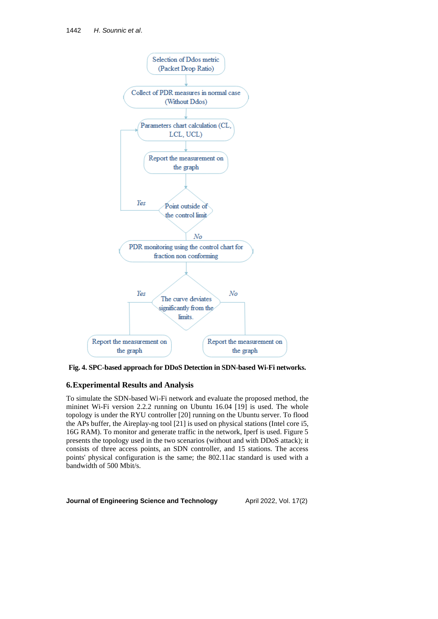

**Fig. 4. SPC-based approach for DDoS Detection in SDN-based Wi-Fi networks.**

## **6.Experimental Results and Analysis**

To simulate the SDN-based Wi-Fi network and evaluate the proposed method, the mininet Wi-Fi version 2.2.2 running on Ubuntu 16.04 [19] is used. The whole topology is under the RYU controller [20] running on the Ubuntu server. To flood the APs buffer, the Aireplay-ng tool [21] is used on physical stations (Intel core i5, 16G RAM). To monitor and generate traffic in the network, Iperf is used. Figure 5 presents the topology used in the two scenarios (without and with DDoS attack); it consists of three access points, an SDN controller, and 15 stations. The access points' physical configuration is the same; the 802.11ac standard is used with a bandwidth of 500 Mbit/s.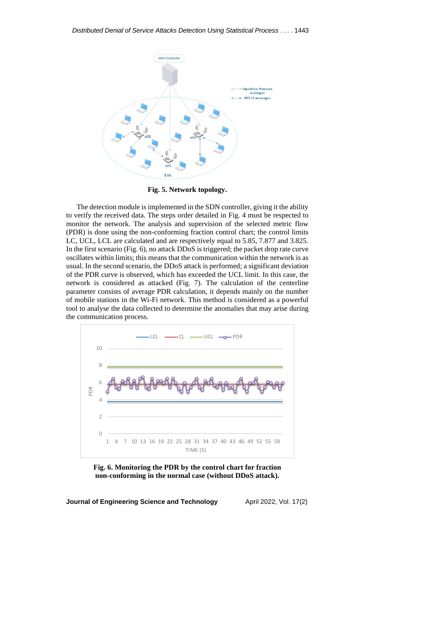

**Fig. 5. Network topology.**

The detection module is implemented in the SDN controller, giving it the ability to verify the received data. The steps order detailed in Fig. 4 must be respected to monitor the network. The analysis and supervision of the selected metric flow (PDR) is done using the non-conforming fraction control chart; the control limits LC, UCL, LCL are calculated and are respectively equal to 5.85, 7.877 and 3.825. In the first scenario (Fig. 6), no attack DDoS is triggered; the packet drop rate curve oscillates within limits; this means that the communication within the network is as usual. In the second scenario, the DDoS attack is performed; a significant deviation of the PDR curve is observed, which has exceeded the UCL limit. In this case, the network is considered as attacked (Fig. 7). The calculation of the centerline parameter consists of average PDR calculation, it depends mainly on the number of mobile stations in the Wi-Fi network. This method is considered as a powerful tool to analyse the data collected to determine the anomalies that may arise during the communication process.



**Fig. 6. Monitoring the PDR by the control chart for fraction non-conforming in the normal case (without DDoS attack).**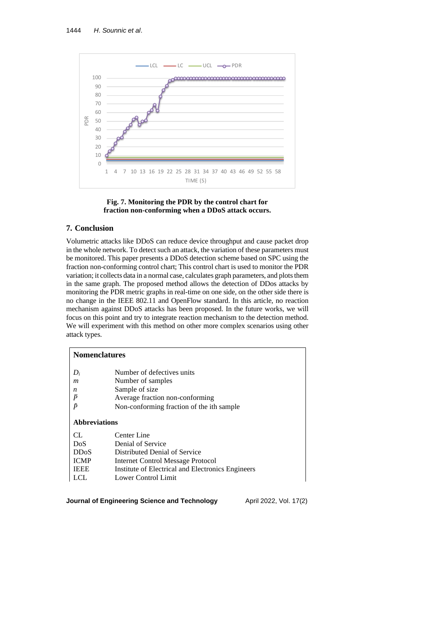



## **7. Conclusion**

Volumetric attacks like DDoS can reduce device throughput and cause packet drop in the whole network. To detect such an attack, the variation of these parameters must be monitored. This paper presents a DDoS detection scheme based on SPC using the fraction non-conforming control chart; This control chart is used to monitor the PDR variation; it collects data in a normal case, calculates graph parameters, and plots them in the same graph. The proposed method allows the detection of DDos attacks by monitoring the PDR metric graphs in real-time on one side, on the other side there is no change in the IEEE 802.11 and OpenFlow standard. In this article, no reaction mechanism against DDoS attacks has been proposed. In the future works, we will focus on this point and try to integrate reaction mechanism to the detection method. We will experiment with this method on other more complex scenarios using other attack types.

| <b>Nomenclatures</b> |                                                                              |  |  |  |
|----------------------|------------------------------------------------------------------------------|--|--|--|
| $D_i$<br>m<br>n      | Number of defectives units<br>Number of samples<br>Sample of size            |  |  |  |
| $\bar{P}$<br>ê       | Average fraction non-conforming<br>Non-conforming fraction of the ith sample |  |  |  |
| <b>Abbreviations</b> |                                                                              |  |  |  |
| CL.                  | Center Line                                                                  |  |  |  |
| DoS                  | Denial of Service                                                            |  |  |  |
| <b>DDoS</b>          | Distributed Denial of Service                                                |  |  |  |
| <b>ICMP</b>          | Internet Control Message Protocol                                            |  |  |  |
| <b>IEEE</b>          | Institute of Electrical and Electronics Engineers                            |  |  |  |
| LCL                  | Lower Control Limit                                                          |  |  |  |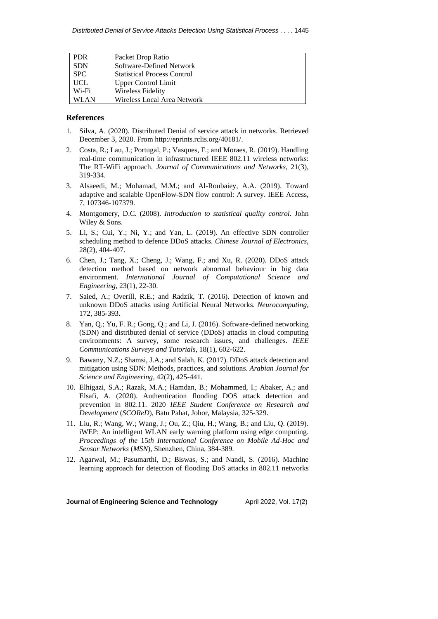| <b>PDR</b> | Packet Drop Ratio                  |
|------------|------------------------------------|
| <b>SDN</b> | Software-Defined Network           |
| <b>SPC</b> | <b>Statistical Process Control</b> |
| <b>UCL</b> | <b>Upper Control Limit</b>         |
| Wi-Fi      | Wireless Fidelity                  |
| WLAN       | Wireless Local Area Network        |

## **References**

- 1. Silva, A. (2020). Distributed Denial of service attack in networks. Retrieved December 3, 2020. Fro[m http://eprints.rclis.org/40181/.](http://eprints.rclis.org/40181/)
- 2. Costa, R.; Lau, J.; Portugal, P.; Vasques, F.; and Moraes, R. (2019). Handling real-time communication in infrastructured IEEE 802.11 wireless networks: The RT-WiFi approach. *Journal of Communications and Networks*, 21(3), 319-334.
- 3. Alsaeedi, M.; Mohamad, M.M.; and Al-Roubaiey, A.A. (2019). Toward adaptive and scalable OpenFlow-SDN flow control: A survey. IEEE Access, 7, 107346-107379.
- 4. Montgomery, D.C. (2008). *Introduction to statistical quality control*. John Wiley & Sons.
- 5. Li, S.; Cui, Y.; Ni, Y.; and Yan, L. (2019). An effective SDN controller scheduling method to defence DDoS attacks. *Chinese Journal of Electronics*, 28(2), 404-407.
- 6. Chen, J.; Tang, X.; Cheng, J.; Wang, F.; and Xu, R. (2020). DDoS attack detection method based on network abnormal behaviour in big data environment. *International Journal of Computational Science and Engineering*, 23(1), 22-30.
- 7. Saied, A.; Overill, R.E.; and Radzik, T. (2016). Detection of known and unknown DDoS attacks using Artificial Neural Networks. *Neurocomputing*, 172, 385-393.
- 8. Yan, Q.; Yu, F. R.; Gong, Q.; and Li, J. (2016). Software-defined networking (SDN) and distributed denial of service (DDoS) attacks in cloud computing environments: A survey, some research issues, and challenges. *IEEE Communications Surveys and Tutorials*, 18(1), 602-622.
- 9. Bawany, N.Z.; Shamsi, J.A.; and Salah, K. (2017). DDoS attack detection and mitigation using SDN: Methods, practices, and solutions. *Arabian Journal for Science and Engineering*, 42(2), 425-441.
- 10. Elhigazi, S.A.; Razak, M.A.; Hamdan, B.; Mohammed, I.; Abaker, A.; and Elsafi, A. (2020). Authentication flooding DOS attack detection and prevention in 802.11. 2020 *IEEE Student Conference on Research and Development* (*SCOReD*), Batu Pahat, Johor, Malaysia, 325-329.
- 11. Liu, R.; Wang, W.; Wang, J.; Ou, Z.; Qiu, H.; Wang, B.; and Liu, Q. (2019). iWEP: An intelligent WLAN early warning platform using edge computing. *Proceedings of the* 15*th International Conference on Mobile Ad-Hoc and Sensor Networks* (*MSN*), Shenzhen, China, 384-389.
- 12. Agarwal, M.; Pasumarthi, D.; Biswas, S.; and Nandi, S. (2016). Machine learning approach for detection of flooding DoS attacks in 802.11 networks